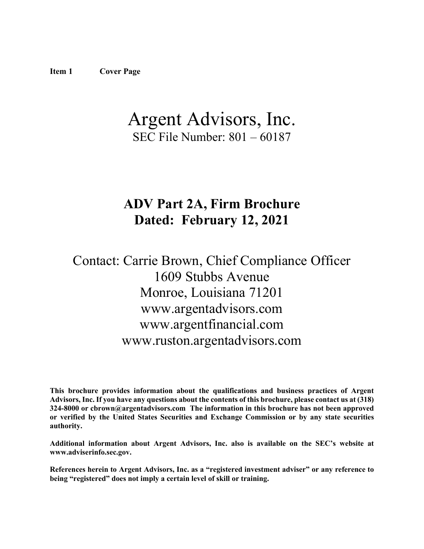# <span id="page-0-0"></span>Argent Advisors, Inc. SEC File Number: 801 – 60187

# **ADV Part 2A, Firm Brochure Dated: February 12, 2021**

# Contact: Carrie Brown, Chief Compliance Officer 1609 Stubbs Avenue Monroe, Louisiana 71201 www.argentadvisors.com www.argentfinancial.com www.ruston.argentadvisors.com

**This brochure provides information about the qualifications and business practices of Argent Advisors, Inc. If you have any questions about the contents of this brochure, please contact us at (318) 324-8000 or cbrown@argentadvisors.com The information in this brochure has not been approved or verified by the United States Securities and Exchange Commission or by any state securities authority.**

**Additional information about Argent Advisors, Inc. also is available on the SEC's website at www.adviserinfo.sec.gov.**

**References herein to Argent Advisors, Inc. as a "registered investment adviser" or any reference to being "registered" does not imply a certain level of skill or training.**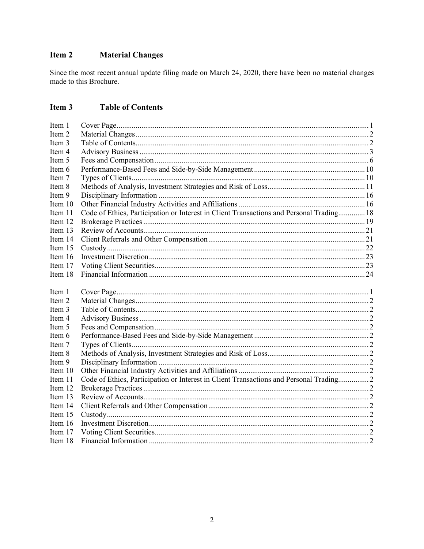#### <span id="page-1-0"></span>Item 2 **Material Changes**

Since the most recent annual update filing made on March 24, 2020, there have been no material changes made to this Brochure.

#### <span id="page-1-1"></span>Item 3 **Table of Contents**

| Item 1    |                                                                                          |  |
|-----------|------------------------------------------------------------------------------------------|--|
| Item 2    |                                                                                          |  |
| Item 3    |                                                                                          |  |
| Item 4    |                                                                                          |  |
| Item 5    |                                                                                          |  |
| Item 6    |                                                                                          |  |
| Item 7    |                                                                                          |  |
| Item 8    |                                                                                          |  |
| Item 9    |                                                                                          |  |
| Item 10   |                                                                                          |  |
| Item 11   | Code of Ethics, Participation or Interest in Client Transactions and Personal Trading 18 |  |
| Item 12   |                                                                                          |  |
| Item 13   |                                                                                          |  |
| Item 14   |                                                                                          |  |
| Item 15   |                                                                                          |  |
| Item 16   |                                                                                          |  |
| Item 17   |                                                                                          |  |
| Item 18   |                                                                                          |  |
|           |                                                                                          |  |
|           |                                                                                          |  |
| Item 1    |                                                                                          |  |
| Item 2    |                                                                                          |  |
| Item 3    |                                                                                          |  |
| Item 4    |                                                                                          |  |
| Item 5    |                                                                                          |  |
| Item 6    |                                                                                          |  |
| Item 7    |                                                                                          |  |
| Item 8    |                                                                                          |  |
| Item 9    |                                                                                          |  |
| Item 10   |                                                                                          |  |
| Item 11   | Code of Ethics, Participation or Interest in Client Transactions and Personal Trading 2  |  |
| Item 12   |                                                                                          |  |
| Item 13   |                                                                                          |  |
| Item 14   |                                                                                          |  |
| Item 15   |                                                                                          |  |
| Item $16$ |                                                                                          |  |
| Item 17   |                                                                                          |  |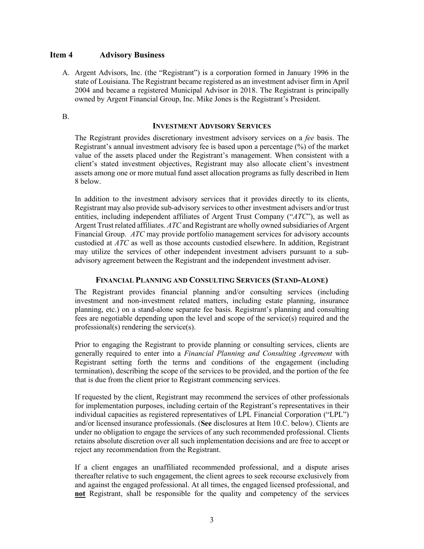# <span id="page-2-0"></span>**Item 4 Advisory Business**

A. Argent Advisors, Inc. (the "Registrant") is a corporation formed in January 1996 in the state of Louisiana. The Registrant became registered as an investment adviser firm in April 2004 and became a registered Municipal Advisor in 2018. The Registrant is principally owned by Argent Financial Group, Inc. Mike Jones is the Registrant's President.

#### B.

#### **INVESTMENT ADVISORY SERVICES**

The Registrant provides discretionary investment advisory services on a *fee* basis. The Registrant's annual investment advisory fee is based upon a percentage (%) of the market value of the assets placed under the Registrant's management. When consistent with a client's stated investment objectives, Registrant may also allocate client's investment assets among one or more mutual fund asset allocation programs as fully described in Item 8 below.

In addition to the investment advisory services that it provides directly to its clients, Registrant may also provide sub-advisory services to other investment advisers and/or trust entities, including independent affiliates of Argent Trust Company ("*ATC*"), as well as Argent Trust related affiliates. *ATC* and Registrant are wholly owned subsidiaries of Argent Financial Group. *ATC* may provide portfolio management services for advisory accounts custodied at *ATC* as well as those accounts custodied elsewhere. In addition, Registrant may utilize the services of other independent investment advisers pursuant to a subadvisory agreement between the Registrant and the independent investment adviser.

### **FINANCIAL PLANNING AND CONSULTING SERVICES (STAND-ALONE)**

The Registrant provides financial planning and/or consulting services (including investment and non-investment related matters, including estate planning, insurance planning, etc.) on a stand-alone separate fee basis. Registrant's planning and consulting fees are negotiable depending upon the level and scope of the service(s) required and the professional(s) rendering the service(s).

Prior to engaging the Registrant to provide planning or consulting services, clients are generally required to enter into a *Financial Planning and Consulting Agreement* with Registrant setting forth the terms and conditions of the engagement (including termination), describing the scope of the services to be provided, and the portion of the fee that is due from the client prior to Registrant commencing services.

If requested by the client, Registrant may recommend the services of other professionals for implementation purposes, including certain of the Registrant's representatives in their individual capacities as registered representatives of LPL Financial Corporation ("LPL") and/or licensed insurance professionals. (**See** disclosures at Item 10.C. below). Clients are under no obligation to engage the services of any such recommended professional. Clients retains absolute discretion over all such implementation decisions and are free to accept or reject any recommendation from the Registrant.

If a client engages an unaffiliated recommended professional, and a dispute arises thereafter relative to such engagement, the client agrees to seek recourse exclusively from and against the engaged professional. At all times, the engaged licensed professional, and **not** Registrant, shall be responsible for the quality and competency of the services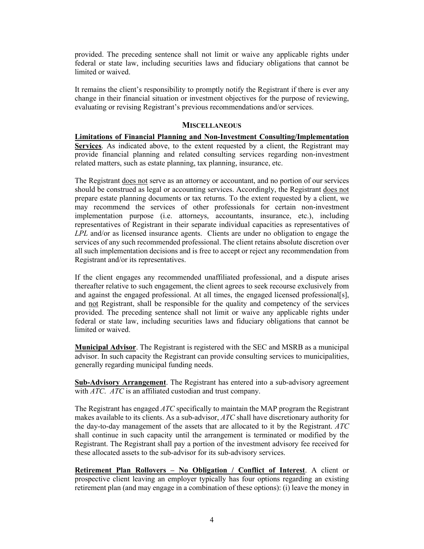provided. The preceding sentence shall not limit or waive any applicable rights under federal or state law, including securities laws and fiduciary obligations that cannot be limited or waived.

It remains the client's responsibility to promptly notify the Registrant if there is ever any change in their financial situation or investment objectives for the purpose of reviewing, evaluating or revising Registrant's previous recommendations and/or services.

#### **MISCELLANEOUS**

**Limitations of Financial Planning and Non-Investment Consulting/Implementation Services**. As indicated above, to the extent requested by a client, the Registrant may provide financial planning and related consulting services regarding non-investment related matters, such as estate planning, tax planning, insurance, etc.

The Registrant does not serve as an attorney or accountant, and no portion of our services should be construed as legal or accounting services. Accordingly, the Registrant does not prepare estate planning documents or tax returns. To the extent requested by a client, we may recommend the services of other professionals for certain non-investment implementation purpose (i.e. attorneys, accountants, insurance, etc.), including representatives of Registrant in their separate individual capacities as representatives of *LPL* and/or as licensed insurance agents. Clients are under no obligation to engage the services of any such recommended professional. The client retains absolute discretion over all such implementation decisions and is free to accept or reject any recommendation from Registrant and/or its representatives.

If the client engages any recommended unaffiliated professional, and a dispute arises thereafter relative to such engagement, the client agrees to seek recourse exclusively from and against the engaged professional. At all times, the engaged licensed professional[s], and not Registrant, shall be responsible for the quality and competency of the services provided. The preceding sentence shall not limit or waive any applicable rights under federal or state law, including securities laws and fiduciary obligations that cannot be limited or waived.

**Municipal Advisor**. The Registrant is registered with the SEC and MSRB as a municipal advisor. In such capacity the Registrant can provide consulting services to municipalities, generally regarding municipal funding needs.

**Sub-Advisory Arrangement**. The Registrant has entered into a sub-advisory agreement with *ATC*. *ATC* is an affiliated custodian and trust company.

The Registrant has engaged *ATC* specifically to maintain the MAP program the Registrant makes available to its clients. As a sub-advisor, *ATC* shall have discretionary authority for the day-to-day management of the assets that are allocated to it by the Registrant. *ATC* shall continue in such capacity until the arrangement is terminated or modified by the Registrant. The Registrant shall pay a portion of the investment advisory fee received for these allocated assets to the sub-advisor for its sub-advisory services.

**Retirement Plan Rollovers – No Obligation / Conflict of Interest**. A client or prospective client leaving an employer typically has four options regarding an existing retirement plan (and may engage in a combination of these options): (i) leave the money in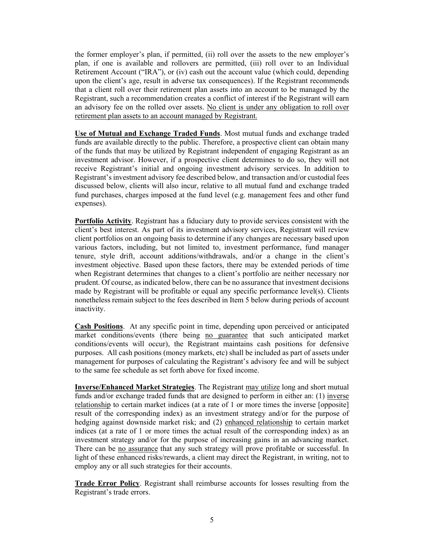the former employer's plan, if permitted, (ii) roll over the assets to the new employer's plan, if one is available and rollovers are permitted, (iii) roll over to an Individual Retirement Account ("IRA"), or (iv) cash out the account value (which could, depending upon the client's age, result in adverse tax consequences). If the Registrant recommends that a client roll over their retirement plan assets into an account to be managed by the Registrant, such a recommendation creates a conflict of interest if the Registrant will earn an advisory fee on the rolled over assets. No client is under any obligation to roll over retirement plan assets to an account managed by Registrant.

**Use of Mutual and Exchange Traded Funds**. Most mutual funds and exchange traded funds are available directly to the public. Therefore, a prospective client can obtain many of the funds that may be utilized by Registrant independent of engaging Registrant as an investment advisor. However, if a prospective client determines to do so, they will not receive Registrant's initial and ongoing investment advisory services. In addition to Registrant's investment advisory fee described below, and transaction and/or custodial fees discussed below, clients will also incur, relative to all mutual fund and exchange traded fund purchases, charges imposed at the fund level (e.g. management fees and other fund expenses).

**Portfolio Activity**. Registrant has a fiduciary duty to provide services consistent with the client's best interest. As part of its investment advisory services, Registrant will review client portfolios on an ongoing basis to determine if any changes are necessary based upon various factors, including, but not limited to, investment performance, fund manager tenure, style drift, account additions/withdrawals, and/or a change in the client's investment objective. Based upon these factors, there may be extended periods of time when Registrant determines that changes to a client's portfolio are neither necessary nor prudent. Of course, as indicated below, there can be no assurance that investment decisions made by Registrant will be profitable or equal any specific performance level(s). Clients nonetheless remain subject to the fees described in Item 5 below during periods of account inactivity.

**Cash Positions**. At any specific point in time, depending upon perceived or anticipated market conditions/events (there being no guarantee that such anticipated market conditions/events will occur), the Registrant maintains cash positions for defensive purposes. All cash positions (money markets, etc) shall be included as part of assets under management for purposes of calculating the Registrant's advisory fee and will be subject to the same fee schedule as set forth above for fixed income.

**Inverse/Enhanced Market Strategies**. The Registrant may utilize long and short mutual funds and/or exchange traded funds that are designed to perform in either an: (1) inverse relationship to certain market indices (at a rate of 1 or more times the inverse [opposite] result of the corresponding index) as an investment strategy and/or for the purpose of hedging against downside market risk; and (2) enhanced relationship to certain market indices (at a rate of 1 or more times the actual result of the corresponding index) as an investment strategy and/or for the purpose of increasing gains in an advancing market. There can be no assurance that any such strategy will prove profitable or successful. In light of these enhanced risks/rewards, a client may direct the Registrant, in writing, not to employ any or all such strategies for their accounts.

**Trade Error Policy**. Registrant shall reimburse accounts for losses resulting from the Registrant's trade errors.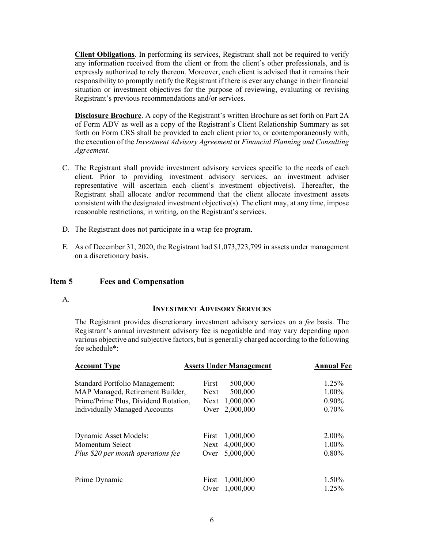**Client Obligations**. In performing its services, Registrant shall not be required to verify any information received from the client or from the client's other professionals, and is expressly authorized to rely thereon. Moreover, each client is advised that it remains their responsibility to promptly notify the Registrant if there is ever any change in their financial situation or investment objectives for the purpose of reviewing, evaluating or revising Registrant's previous recommendations and/or services.

**Disclosure Brochure**. A copy of the Registrant's written Brochure as set forth on Part 2A of Form ADV as well as a copy of the Registrant's Client Relationship Summary as set forth on Form CRS shall be provided to each client prior to, or contemporaneously with, the execution of the *Investment Advisory Agreement* or *Financial Planning and Consulting Agreement*.

- C. The Registrant shall provide investment advisory services specific to the needs of each client. Prior to providing investment advisory services, an investment adviser representative will ascertain each client's investment objective(s). Thereafter, the Registrant shall allocate and/or recommend that the client allocate investment assets consistent with the designated investment objective(s). The client may, at any time, impose reasonable restrictions, in writing, on the Registrant's services.
- D. The Registrant does not participate in a wrap fee program.
- E. As of December 31, 2020, the Registrant had \$1,073,723,799 in assets under management on a discretionary basis.

### <span id="page-5-0"></span>**Item 5 Fees and Compensation**

A.

#### **INVESTMENT ADVISORY SERVICES**

The Registrant provides discretionary investment advisory services on a *fee* basis. The Registrant's annual investment advisory fee is negotiable and may vary depending upon various objective and subjective factors, but is generally charged according to the following fee schedule\*:

| <b>Account Type</b>                   | <b>Assets Under Management</b> | <b>Annual Fee</b> |          |
|---------------------------------------|--------------------------------|-------------------|----------|
| <b>Standard Portfolio Management:</b> | First                          | 500,000           | 1.25%    |
| MAP Managed, Retirement Builder,      | <b>Next</b>                    | 500,000           | 1.00%    |
| Prime/Prime Plus, Dividend Rotation,  | Next                           | 1,000,000         | $0.90\%$ |
| <b>Individually Managed Accounts</b>  | Over                           | 2,000,000         | 0.70%    |
| <b>Dynamic Asset Models:</b>          | First                          | 1,000,000         | $2.00\%$ |
| Momentum Select                       | Next                           | 4,000,000         | $1.00\%$ |
| Plus \$20 per month operations fee    | Over                           | 5,000,000         | 0.80%    |
| Prime Dynamic                         | First                          | 1,000,000         | 1.50%    |
|                                       | Over                           | 1,000,000         | 1.25%    |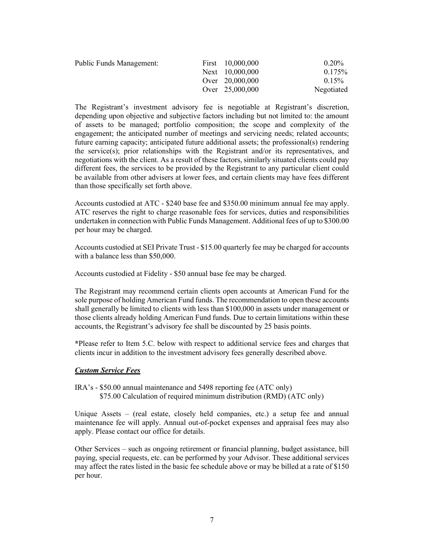| <b>Public Funds Management:</b> | First 10,000,000 | $0.20\%$   |
|---------------------------------|------------------|------------|
|                                 | Next 10,000,000  | $0.175\%$  |
|                                 | Over 20,000,000  | $0.15\%$   |
|                                 | Over 25,000,000  | Negotiated |

The Registrant's investment advisory fee is negotiable at Registrant's discretion, depending upon objective and subjective factors including but not limited to: the amount of assets to be managed; portfolio composition; the scope and complexity of the engagement; the anticipated number of meetings and servicing needs; related accounts; future earning capacity; anticipated future additional assets; the professional(s) rendering the service(s); prior relationships with the Registrant and/or its representatives, and negotiations with the client. As a result of these factors, similarly situated clients could pay different fees, the services to be provided by the Registrant to any particular client could be available from other advisers at lower fees, and certain clients may have fees different than those specifically set forth above.

Accounts custodied at ATC - \$240 base fee and \$350.00 minimum annual fee may apply. ATC reserves the right to charge reasonable fees for services, duties and responsibilities undertaken in connection with Public Funds Management. Additional fees of up to \$300.00 per hour may be charged.

Accounts custodied at SEI Private Trust - \$15.00 quarterly fee may be charged for accounts with a balance less than \$50,000.

Accounts custodied at Fidelity - \$50 annual base fee may be charged.

The Registrant may recommend certain clients open accounts at American Fund for the sole purpose of holding American Fund funds. The recommendation to open these accounts shall generally be limited to clients with less than \$100,000 in assets under management or those clients already holding American Fund funds. Due to certain limitations within these accounts, the Registrant's advisory fee shall be discounted by 25 basis points.

**\***Please refer to Item 5.C. below with respect to additional service fees and charges that clients incur in addition to the investment advisory fees generally described above.

### *Custom Service Fees*

IRA's - \$50.00 annual maintenance and 5498 reporting fee (ATC only) \$75.00 Calculation of required minimum distribution (RMD) (ATC only)

Unique Assets – (real estate, closely held companies, etc.) a setup fee and annual maintenance fee will apply. Annual out-of-pocket expenses and appraisal fees may also apply. Please contact our office for details.

Other Services – such as ongoing retirement or financial planning, budget assistance, bill paying, special requests, etc. can be performed by your Advisor. These additional services may affect the rates listed in the basic fee schedule above or may be billed at a rate of \$150 per hour.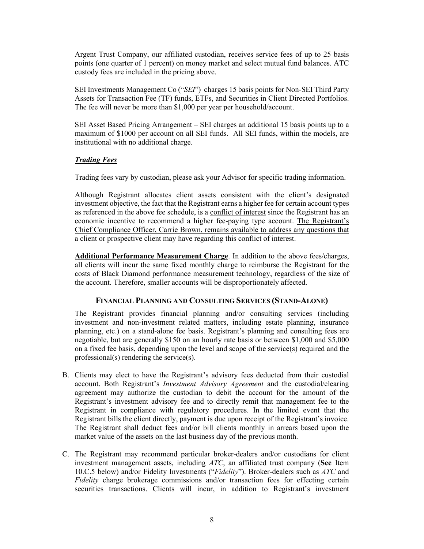Argent Trust Company, our affiliated custodian, receives service fees of up to 25 basis points (one quarter of 1 percent) on money market and select mutual fund balances. ATC custody fees are included in the pricing above.

SEI Investments Management Co ("*SEI*") charges 15 basis points for Non-SEI Third Party Assets for Transaction Fee (TF) funds, ETFs, and Securities in Client Directed Portfolios. The fee will never be more than \$1,000 per year per household/account.

SEI Asset Based Pricing Arrangement – SEI charges an additional 15 basis points up to a maximum of \$1000 per account on all SEI funds. All SEI funds, within the models, are institutional with no additional charge.

# *Trading Fees*

Trading fees vary by custodian, please ask your Advisor for specific trading information.

Although Registrant allocates client assets consistent with the client's designated investment objective, the fact that the Registrant earns a higher fee for certain account types as referenced in the above fee schedule, is a conflict of interest since the Registrant has an economic incentive to recommend a higher fee-paying type account. The Registrant's Chief Compliance Officer, Carrie Brown, remains available to address any questions that a client or prospective client may have regarding this conflict of interest.

**Additional Performance Measurement Charge**. In addition to the above fees/charges, all clients will incur the same fixed monthly charge to reimburse the Registrant for the costs of Black Diamond performance measurement technology, regardless of the size of the account. Therefore, smaller accounts will be disproportionately affected.

### **FINANCIAL PLANNING AND CONSULTING SERVICES (STAND-ALONE)**

The Registrant provides financial planning and/or consulting services (including investment and non-investment related matters, including estate planning, insurance planning, etc.) on a stand-alone fee basis. Registrant's planning and consulting fees are negotiable, but are generally \$150 on an hourly rate basis or between \$1,000 and \$5,000 on a fixed fee basis, depending upon the level and scope of the service(s) required and the professional(s) rendering the service(s).

- B. Clients may elect to have the Registrant's advisory fees deducted from their custodial account. Both Registrant's *Investment Advisory Agreement* and the custodial/clearing agreement may authorize the custodian to debit the account for the amount of the Registrant's investment advisory fee and to directly remit that management fee to the Registrant in compliance with regulatory procedures. In the limited event that the Registrant bills the client directly, payment is due upon receipt of the Registrant's invoice. The Registrant shall deduct fees and/or bill clients monthly in arrears based upon the market value of the assets on the last business day of the previous month.
- C. The Registrant may recommend particular broker-dealers and/or custodians for client investment management assets, including *ATC*, an affiliated trust company (**See** Item 10.C.5 below) and/or Fidelity Investments ("*Fidelity*"). Broker-dealers such as *ATC* and *Fidelity* charge brokerage commissions and/or transaction fees for effecting certain securities transactions. Clients will incur, in addition to Registrant's investment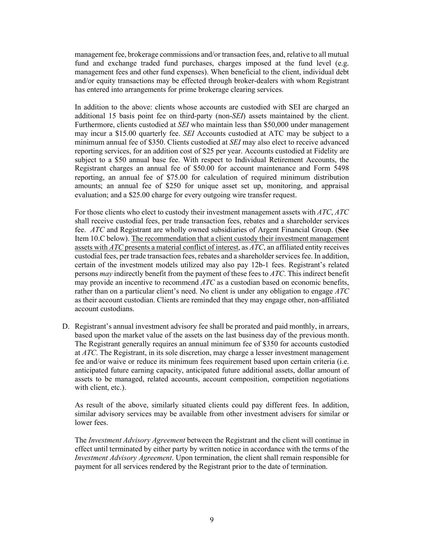management fee, brokerage commissions and/or transaction fees, and, relative to all mutual fund and exchange traded fund purchases, charges imposed at the fund level (e.g. management fees and other fund expenses). When beneficial to the client, individual debt and/or equity transactions may be effected through broker-dealers with whom Registrant has entered into arrangements for prime brokerage clearing services.

In addition to the above: clients whose accounts are custodied with SEI are charged an additional 15 basis point fee on third-party (non-*SEI*) assets maintained by the client. Furthermore, clients custodied at *SEI* who maintain less than \$50,000 under management may incur a \$15.00 quarterly fee. *SEI* Accounts custodied at ATC may be subject to a minimum annual fee of \$350. Clients custodied at *SEI* may also elect to receive advanced reporting services, for an addition cost of \$25 per year. Accounts custodied at Fidelity are subject to a \$50 annual base fee. With respect to Individual Retirement Accounts, the Registrant charges an annual fee of \$50.00 for account maintenance and Form 5498 reporting, an annual fee of \$75.00 for calculation of required minimum distribution amounts; an annual fee of \$250 for unique asset set up, monitoring, and appraisal evaluation; and a \$25.00 charge for every outgoing wire transfer request.

For those clients who elect to custody their investment management assets with *ATC*, *ATC* shall receive custodial fees, per trade transaction fees, rebates and a shareholder services fee. *ATC* and Registrant are wholly owned subsidiaries of Argent Financial Group. (**See** Item 10.C below). The recommendation that a client custody their investment management assets with *ATC* presents a material conflict of interest, as *ATC*, an affiliated entity receives custodial fees, per trade transaction fees, rebates and a shareholder services fee. In addition, certain of the investment models utilized may also pay 12b-1 fees. Registrant's related persons *may* indirectly benefit from the payment of these fees to *ATC*. This indirect benefit may provide an incentive to recommend *ATC* as a custodian based on economic benefits, rather than on a particular client's need. No client is under any obligation to engage *ATC* as their account custodian. Clients are reminded that they may engage other, non-affiliated account custodians.

D. Registrant's annual investment advisory fee shall be prorated and paid monthly, in arrears, based upon the market value of the assets on the last business day of the previous month. The Registrant generally requires an annual minimum fee of \$350 for accounts custodied at *ATC*. The Registrant, in its sole discretion, may charge a lesser investment management fee and/or waive or reduce its minimum fees requirement based upon certain criteria (i.e. anticipated future earning capacity, anticipated future additional assets, dollar amount of assets to be managed, related accounts, account composition, competition negotiations with client, etc.).

As result of the above, similarly situated clients could pay different fees. In addition, similar advisory services may be available from other investment advisers for similar or lower fees.

The *Investment Advisory Agreement* between the Registrant and the client will continue in effect until terminated by either party by written notice in accordance with the terms of the *Investment Advisory Agreement*. Upon termination, the client shall remain responsible for payment for all services rendered by the Registrant prior to the date of termination.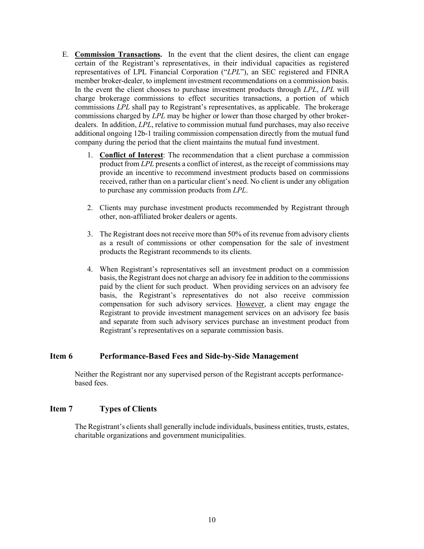- E. **Commission Transactions.** In the event that the client desires, the client can engage certain of the Registrant's representatives, in their individual capacities as registered representatives of LPL Financial Corporation ("*LPL*"), an SEC registered and FINRA member broker-dealer, to implement investment recommendations on a commission basis. In the event the client chooses to purchase investment products through *LPL*, *LPL* will charge brokerage commissions to effect securities transactions, a portion of which commissions *LPL* shall pay to Registrant's representatives, as applicable. The brokerage commissions charged by *LPL* may be higher or lower than those charged by other brokerdealers. In addition, *LPL*, relative to commission mutual fund purchases, may also receive additional ongoing 12b-1 trailing commission compensation directly from the mutual fund company during the period that the client maintains the mutual fund investment.
	- 1. **Conflict of Interest**: The recommendation that a client purchase a commission product from *LPL* presents a conflict of interest, as the receipt of commissions may provide an incentive to recommend investment products based on commissions received, rather than on a particular client's need. No client is under any obligation to purchase any commission products from *LPL*.
	- 2. Clients may purchase investment products recommended by Registrant through other, non-affiliated broker dealers or agents.
	- 3. The Registrant does not receive more than 50% of its revenue from advisory clients as a result of commissions or other compensation for the sale of investment products the Registrant recommends to its clients.
	- 4. When Registrant's representatives sell an investment product on a commission basis, the Registrant does not charge an advisory fee in addition to the commissions paid by the client for such product. When providing services on an advisory fee basis, the Registrant's representatives do not also receive commission compensation for such advisory services. However, a client may engage the Registrant to provide investment management services on an advisory fee basis and separate from such advisory services purchase an investment product from Registrant's representatives on a separate commission basis.

### <span id="page-9-0"></span>**Item 6 Performance-Based Fees and Side-by-Side Management**

Neither the Registrant nor any supervised person of the Registrant accepts performancebased fees.

# <span id="page-9-1"></span>**Item 7 Types of Clients**

The Registrant's clients shall generally include individuals, business entities, trusts, estates, charitable organizations and government municipalities.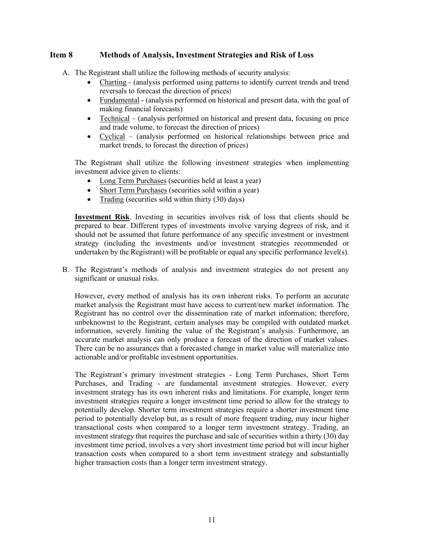# <span id="page-10-0"></span>**Item 8 Methods of Analysis, Investment Strategies and Risk of Loss**

A. The Registrant shall utilize the following methods of security analysis:

- Charting (analysis performed using patterns to identify current trends and trend reversals to forecast the direction of prices)
- Fundamental (analysis performed on historical and present data, with the goal of making financial forecasts)
- Technical (analysis performed on historical and present data, focusing on price and trade volume, to forecast the direction of prices)
- Cyclical (analysis performed on historical relationships between price and market trends, to forecast the direction of prices)

The Registrant shall utilize the following investment strategies when implementing investment advice given to clients:

- Long Term Purchases (securities held at least a year)
- Short Term Purchases (securities sold within a year)
- Trading (securities sold within thirty (30) days)

**Investment Risk**. Investing in securities involves risk of loss that clients should be prepared to bear. Different types of investments involve varying degrees of risk, and it should not be assumed that future performance of any specific investment or investment strategy (including the investments and/or investment strategies recommended or undertaken by the Registrant) will be profitable or equal any specific performance level(s).

B. The Registrant's methods of analysis and investment strategies do not present any significant or unusual risks.

However, every method of analysis has its own inherent risks. To perform an accurate market analysis the Registrant must have access to current/new market information. The Registrant has no control over the dissemination rate of market information; therefore, unbeknownst to the Registrant, certain analyses may be compiled with outdated market information, severely limiting the value of the Registrant's analysis. Furthermore, an accurate market analysis can only produce a forecast of the direction of market values. There can be no assurances that a forecasted change in market value will materialize into actionable and/or profitable investment opportunities.

The Registrant's primary investment strategies - Long Term Purchases, Short Term Purchases, and Trading - are fundamental investment strategies. However, every investment strategy has its own inherent risks and limitations. For example, longer term investment strategies require a longer investment time period to allow for the strategy to potentially develop. Shorter term investment strategies require a shorter investment time period to potentially develop but, as a result of more frequent trading, may incur higher transactional costs when compared to a longer term investment strategy. Trading, an investment strategy that requires the purchase and sale of securities within a thirty (30) day investment time period, involves a very short investment time period but will incur higher transaction costs when compared to a short term investment strategy and substantially higher transaction costs than a longer term investment strategy.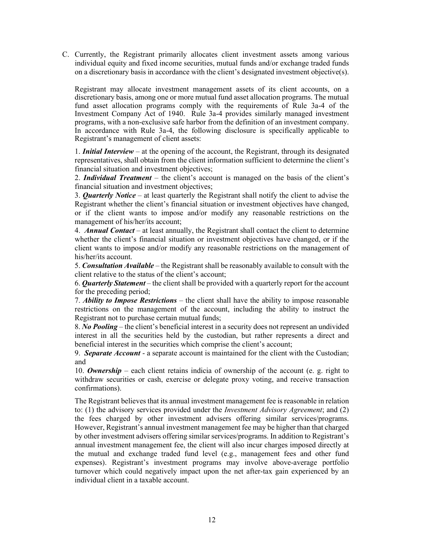C. Currently, the Registrant primarily allocates client investment assets among various individual equity and fixed income securities, mutual funds and/or exchange traded funds on a discretionary basis in accordance with the client's designated investment objective(s).

Registrant may allocate investment management assets of its client accounts, on a discretionary basis, among one or more mutual fund asset allocation programs. The mutual fund asset allocation programs comply with the requirements of Rule 3a-4 of the Investment Company Act of 1940. Rule 3a-4 provides similarly managed investment programs, with a non-exclusive safe harbor from the definition of an investment company. In accordance with Rule 3a-4, the following disclosure is specifically applicable to Registrant's management of client assets:

1. *Initial Interview* – at the opening of the account, the Registrant, through its designated representatives, shall obtain from the client information sufficient to determine the client's financial situation and investment objectives;

2. *Individual Treatment* – the client's account is managed on the basis of the client's financial situation and investment objectives;

3. *Quarterly Notice* – at least quarterly the Registrant shall notify the client to advise the Registrant whether the client's financial situation or investment objectives have changed, or if the client wants to impose and/or modify any reasonable restrictions on the management of his/her/its account;

4. *Annual Contact* – at least annually, the Registrant shall contact the client to determine whether the client's financial situation or investment objectives have changed, or if the client wants to impose and/or modify any reasonable restrictions on the management of his/her/its account.

5. *Consultation Available* – the Registrant shall be reasonably available to consult with the client relative to the status of the client's account;

6. *Quarterly Statement –* the client shall be provided with a quarterly report for the account for the preceding period;

7. *Ability to Impose Restrictions* – the client shall have the ability to impose reasonable restrictions on the management of the account, including the ability to instruct the Registrant not to purchase certain mutual funds;

8. *No Pooling* – the client's beneficial interest in a security does not represent an undivided interest in all the securities held by the custodian, but rather represents a direct and beneficial interest in the securities which comprise the client's account;

9. *Separate Account* - a separate account is maintained for the client with the Custodian; and

10. *Ownership* – each client retains indicia of ownership of the account (e. g. right to withdraw securities or cash, exercise or delegate proxy voting, and receive transaction confirmations).

The Registrant believes that its annual investment management fee is reasonable in relation to: (1) the advisory services provided under the *Investment Advisory Agreement*; and (2) the fees charged by other investment advisers offering similar services/programs. However, Registrant's annual investment management fee may be higher than that charged by other investment advisers offering similar services/programs. In addition to Registrant's annual investment management fee, the client will also incur charges imposed directly at the mutual and exchange traded fund level (e.g., management fees and other fund expenses). Registrant's investment programs may involve above-average portfolio turnover which could negatively impact upon the net after-tax gain experienced by an individual client in a taxable account.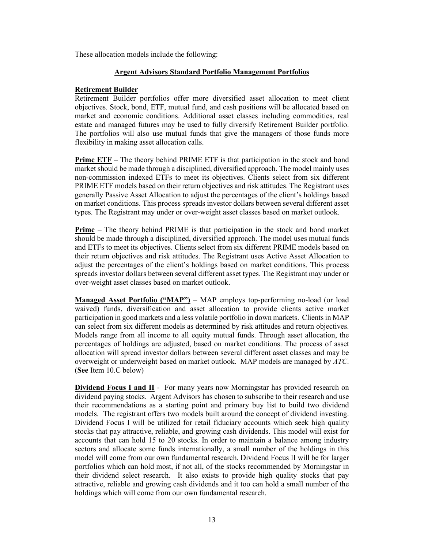These allocation models include the following:

#### **Argent Advisors Standard Portfolio Management Portfolios**

#### **Retirement Builder**

Retirement Builder portfolios offer more diversified asset allocation to meet client objectives. Stock, bond, ETF, mutual fund, and cash positions will be allocated based on market and economic conditions. Additional asset classes including commodities, real estate and managed futures may be used to fully diversify Retirement Builder portfolio. The portfolios will also use mutual funds that give the managers of those funds more flexibility in making asset allocation calls.

**Prime ETF** – The theory behind PRIME ETF is that participation in the stock and bond market should be made through a disciplined, diversified approach. The model mainly uses non-commission indexed ETFs to meet its objectives. Clients select from six different PRIME ETF models based on their return objectives and risk attitudes. The Registrant uses generally Passive Asset Allocation to adjust the percentages of the client's holdings based on market conditions. This process spreads investor dollars between several different asset types. The Registrant may under or over-weight asset classes based on market outlook.

**Prime** – The theory behind PRIME is that participation in the stock and bond market should be made through a disciplined, diversified approach. The model uses mutual funds and ETFs to meet its objectives. Clients select from six different PRIME models based on their return objectives and risk attitudes. The Registrant uses Active Asset Allocation to adjust the percentages of the client's holdings based on market conditions. This process spreads investor dollars between several different asset types. The Registrant may under or over-weight asset classes based on market outlook.

**Managed Asset Portfolio ("MAP")** – MAP employs top-performing no-load (or load waived) funds, diversification and asset allocation to provide clients active market participation in good markets and a less volatile portfolio in down markets. Clients in MAP can select from six different models as determined by risk attitudes and return objectives. Models range from all income to all equity mutual funds. Through asset allocation, the percentages of holdings are adjusted, based on market conditions. The process of asset allocation will spread investor dollars between several different asset classes and may be overweight or underweight based on market outlook. MAP models are managed by *ATC*. (**See** Item 10.C below)

**Dividend Focus I and II** - For many years now Morningstar has provided research on dividend paying stocks. Argent Advisors has chosen to subscribe to their research and use their recommendations as a starting point and primary buy list to build two dividend models. The registrant offers two models built around the concept of dividend investing. Dividend Focus I will be utilized for retail fiduciary accounts which seek high quality stocks that pay attractive, reliable, and growing cash dividends. This model will exist for accounts that can hold 15 to 20 stocks. In order to maintain a balance among industry sectors and allocate some funds internationally, a small number of the holdings in this model will come from our own fundamental research. Dividend Focus II will be for larger portfolios which can hold most, if not all, of the stocks recommended by Morningstar in their dividend select research. It also exists to provide high quality stocks that pay attractive, reliable and growing cash dividends and it too can hold a small number of the holdings which will come from our own fundamental research.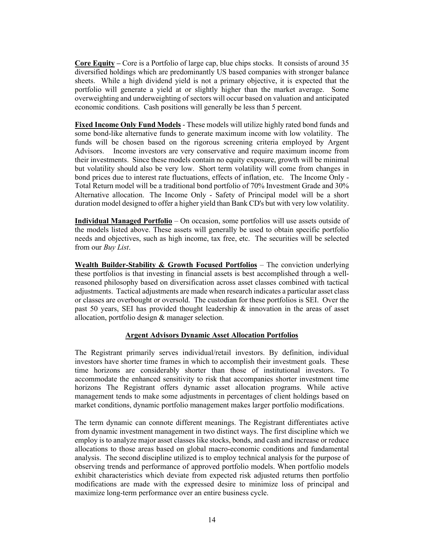**Core Equity –** Core is a Portfolio of large cap, blue chips stocks. It consists of around 35 diversified holdings which are predominantly US based companies with stronger balance sheets. While a high dividend yield is not a primary objective, it is expected that the portfolio will generate a yield at or slightly higher than the market average. Some overweighting and underweighting of sectors will occur based on valuation and anticipated economic conditions. Cash positions will generally be less than 5 percent.

**Fixed Income Only Fund Models** - These models will utilize highly rated bond funds and some bond-like alternative funds to generate maximum income with low volatility. The funds will be chosen based on the rigorous screening criteria employed by Argent Advisors. Income investors are very conservative and require maximum income from their investments. Since these models contain no equity exposure, growth will be minimal but volatility should also be very low. Short term volatility will come from changes in bond prices due to interest rate fluctuations, effects of inflation, etc. The Income Only - Total Return model will be a traditional bond portfolio of 70% Investment Grade and 30% Alternative allocation. The Income Only - Safety of Principal model will be a short duration model designed to offer a higher yield than Bank CD's but with very low volatility.

**Individual Managed Portfolio** – On occasion, some portfolios will use assets outside of the models listed above. These assets will generally be used to obtain specific portfolio needs and objectives, such as high income, tax free, etc. The securities will be selected from our *Buy List*.

**Wealth Builder-Stability & Growth Focused Portfolios** – The conviction underlying these portfolios is that investing in financial assets is best accomplished through a wellreasoned philosophy based on diversification across asset classes combined with tactical adjustments. Tactical adjustments are made when research indicates a particular asset class or classes are overbought or oversold. The custodian for these portfolios is SEI. Over the past 50 years, SEI has provided thought leadership & innovation in the areas of asset allocation, portfolio design & manager selection.

# **Argent Advisors Dynamic Asset Allocation Portfolios**

The Registrant primarily serves individual/retail investors. By definition, individual investors have shorter time frames in which to accomplish their investment goals. These time horizons are considerably shorter than those of institutional investors. To accommodate the enhanced sensitivity to risk that accompanies shorter investment time horizons The Registrant offers dynamic asset allocation programs. While active management tends to make some adjustments in percentages of client holdings based on market conditions, dynamic portfolio management makes larger portfolio modifications.

The term dynamic can connote different meanings. The Registrant differentiates active from dynamic investment management in two distinct ways. The first discipline which we employ is to analyze major asset classes like stocks, bonds, and cash and increase or reduce allocations to those areas based on global macro-economic conditions and fundamental analysis. The second discipline utilized is to employ technical analysis for the purpose of observing trends and performance of approved portfolio models. When portfolio models exhibit characteristics which deviate from expected risk adjusted returns then portfolio modifications are made with the expressed desire to minimize loss of principal and maximize long-term performance over an entire business cycle.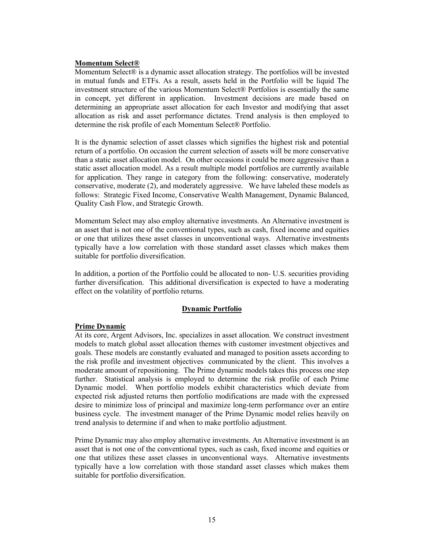#### **Momentum Select®**

Momentum Select® is a dynamic asset allocation strategy. The portfolios will be invested in mutual funds and ETFs. As a result, assets held in the Portfolio will be liquid The investment structure of the various Momentum Select® Portfolios is essentially the same in concept, yet different in application. Investment decisions are made based on determining an appropriate asset allocation for each Investor and modifying that asset allocation as risk and asset performance dictates. Trend analysis is then employed to determine the risk profile of each Momentum Select® Portfolio.

It is the dynamic selection of asset classes which signifies the highest risk and potential return of a portfolio. On occasion the current selection of assets will be more conservative than a static asset allocation model. On other occasions it could be more aggressive than a static asset allocation model. As a result multiple model portfolios are currently available for application. They range in category from the following: conservative, moderately conservative, moderate (2), and moderately aggressive. We have labeled these models as follows: Strategic Fixed Income, Conservative Wealth Management, Dynamic Balanced, Quality Cash Flow, and Strategic Growth.

Momentum Select may also employ alternative investments. An Alternative investment is an asset that is not one of the conventional types, such as cash, fixed income and equities or one that utilizes these asset classes in unconventional ways. Alternative investments typically have a low correlation with those standard asset classes which makes them suitable for portfolio diversification.

In addition, a portion of the Portfolio could be allocated to non- U.S. securities providing further diversification. This additional diversification is expected to have a moderating effect on the volatility of portfolio returns.

### **Dynamic Portfolio**

### **Prime Dynamic**

At its core, Argent Advisors, Inc. specializes in asset allocation. We construct investment models to match global asset allocation themes with customer investment objectives and goals. These models are constantly evaluated and managed to position assets according to the risk profile and investment objectives communicated by the client. This involves a moderate amount of repositioning. The Prime dynamic models takes this process one step further. Statistical analysis is employed to determine the risk profile of each Prime Dynamic model. When portfolio models exhibit characteristics which deviate from expected risk adjusted returns then portfolio modifications are made with the expressed desire to minimize loss of principal and maximize long-term performance over an entire business cycle. The investment manager of the Prime Dynamic model relies heavily on trend analysis to determine if and when to make portfolio adjustment.

Prime Dynamic may also employ alternative investments. An Alternative investment is an asset that is not one of the conventional types, such as cash, fixed income and equities or one that utilizes these asset classes in unconventional ways. Alternative investments typically have a low correlation with those standard asset classes which makes them suitable for portfolio diversification.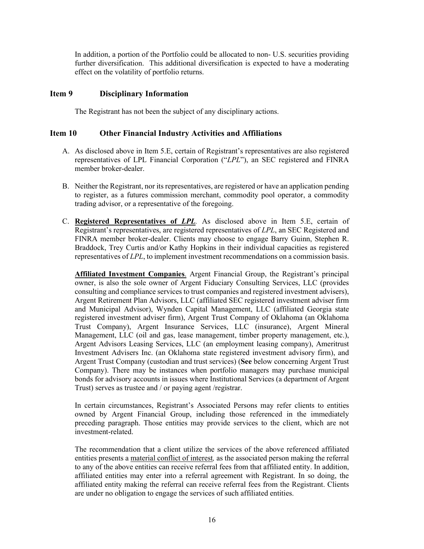In addition, a portion of the Portfolio could be allocated to non- U.S. securities providing further diversification. This additional diversification is expected to have a moderating effect on the volatility of portfolio returns.

# <span id="page-15-0"></span>**Item 9 Disciplinary Information**

The Registrant has not been the subject of any disciplinary actions.

# <span id="page-15-1"></span>**Item 10 Other Financial Industry Activities and Affiliations**

- A. As disclosed above in Item 5.E, certain of Registrant's representatives are also registered representatives of LPL Financial Corporation ("*LPL*"), an SEC registered and FINRA member broker-dealer.
- B. Neither the Registrant, nor its representatives, are registered or have an application pending to register, as a futures commission merchant, commodity pool operator, a commodity trading advisor, or a representative of the foregoing.
- C. **Registered Representatives of** *LPL.* As disclosed above in Item 5.E, certain of Registrant's representatives, are registered representatives of *LPL*, an SEC Registered and FINRA member broker-dealer. Clients may choose to engage Barry Guinn, Stephen R. Braddock, Trey Curtis and/or Kathy Hopkins in their individual capacities as registered representatives of *LPL*, to implement investment recommendations on a commission basis.

**Affiliated Investment Companies**. Argent Financial Group, the Registrant's principal owner, is also the sole owner of Argent Fiduciary Consulting Services, LLC (provides consulting and compliance services to trust companies and registered investment advisers), Argent Retirement Plan Advisors, LLC (affiliated SEC registered investment adviser firm and Municipal Advisor), Wynden Capital Management, LLC (affiliated Georgia state registered investment adviser firm), Argent Trust Company of Oklahoma (an Oklahoma Trust Company), Argent Insurance Services, LLC (insurance), Argent Mineral Management, LLC (oil and gas, lease management, timber property management, etc.), Argent Advisors Leasing Services, LLC (an employment leasing company), Ameritrust Investment Advisers Inc. (an Oklahoma state registered investment advisory firm), and Argent Trust Company (custodian and trust services) (**See** below concerning Argent Trust Company). There may be instances when portfolio managers may purchase municipal bonds for advisory accounts in issues where Institutional Services (a department of Argent Trust) serves as trustee and / or paying agent /registrar.

In certain circumstances, Registrant's Associated Persons may refer clients to entities owned by Argent Financial Group, including those referenced in the immediately preceding paragraph. Those entities may provide services to the client, which are not investment-related.

The recommendation that a client utilize the services of the above referenced affiliated entities presents a material conflict of interest*,* as the associated person making the referral to any of the above entities can receive referral fees from that affiliated entity. In addition, affiliated entities may enter into a referral agreement with Registrant. In so doing, the affiliated entity making the referral can receive referral fees from the Registrant. Clients are under no obligation to engage the services of such affiliated entities.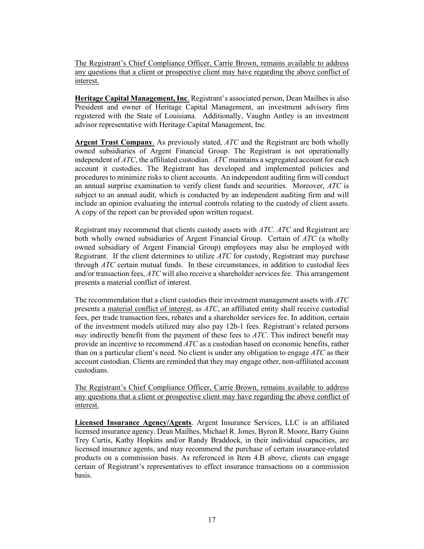The Registrant's Chief Compliance Officer, Carrie Brown, remains available to address any questions that a client or prospective client may have regarding the above conflict of interest.

**Heritage Capital Management, Inc**. Registrant's associated person, Dean Mailhes is also President and owner of Heritage Capital Management, an investment advisory firm registered with the State of Louisiana. Additionally, Vaughn Antley is an investment advisor representative with Heritage Capital Management, Inc.

**Argent Trust Company**. As previously stated, *ATC* and the Registrant are both wholly owned subsidiaries of Argent Financial Group. The Registrant is not operationally independent of *ATC*, the affiliated custodian. *ATC* maintains a segregated account for each account it custodies. The Registrant has developed and implemented policies and procedures to minimize risks to client accounts. An independent auditing firm will conduct an annual surprise examination to verify client funds and securities. Moreover, *ATC* is subject to an annual audit, which is conducted by an independent auditing firm and will include an opinion evaluating the internal controls relating to the custody of client assets. A copy of the report can be provided upon written request.

Registrant may recommend that clients custody assets with *ATC*. *ATC* and Registrant are both wholly owned subsidiaries of Argent Financial Group. Certain of *ATC* (a wholly owned subsidiary of Argent Financial Group) employees may also be employed with Registrant. If the client determines to utilize *ATC* for custody, Registrant may purchase through *ATC* certain mutual funds. In these circumstances, in addition to custodial fees and/or transaction fees, *ATC* will also receive a shareholder services fee. This arrangement presents a material conflict of interest.

The recommendation that a client custodies their investment management assets with *ATC* presents a material conflict of interest, as *ATC*, an affiliated entity shall receive custodial fees, per trade transaction fees, rebates and a shareholder services fee. In addition, certain of the investment models utilized may also pay 12b-1 fees. Registrant's related persons *may* indirectly benefit from the payment of these fees to *ATC*. This indirect benefit may provide an incentive to recommend *ATC* as a custodian based on economic benefits, rather than on a particular client's need. No client is under any obligation to engage *ATC* as their account custodian. Clients are reminded that they may engage other, non-affiliated account custodians.

The Registrant's Chief Compliance Officer, Carrie Brown, remains available to address any questions that a client or prospective client may have regarding the above conflict of interest.

**Licensed Insurance Agency/Agents**. Argent Insurance Services, LLC is an affiliated licensed insurance agency. Dean Mailhes, Michael R. Jones, Byron R. Moore, Barry Guinn Trey Curtis, Kathy Hopkins and/or Randy Braddock, in their individual capacities, are licensed insurance agents, and may recommend the purchase of certain insurance-related products on a commission basis. As referenced in Item 4.B above, clients can engage certain of Registrant's representatives to effect insurance transactions on a commission basis.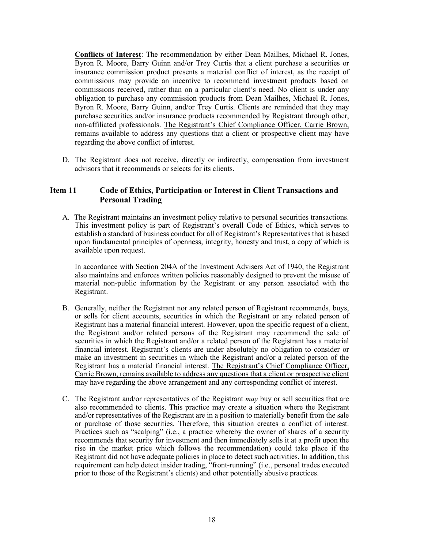**Conflicts of Interest**: The recommendation by either Dean Mailhes, Michael R. Jones, Byron R. Moore, Barry Guinn and/or Trey Curtis that a client purchase a securities or insurance commission product presents a material conflict of interest, as the receipt of commissions may provide an incentive to recommend investment products based on commissions received, rather than on a particular client's need. No client is under any obligation to purchase any commission products from Dean Mailhes, Michael R. Jones, Byron R. Moore, Barry Guinn, and/or Trey Curtis. Clients are reminded that they may purchase securities and/or insurance products recommended by Registrant through other, non-affiliated professionals. The Registrant's Chief Compliance Officer, Carrie Brown, remains available to address any questions that a client or prospective client may have regarding the above conflict of interest.

D. The Registrant does not receive, directly or indirectly, compensation from investment advisors that it recommends or selects for its clients.

# <span id="page-17-0"></span>**Item 11 Code of Ethics, Participation or Interest in Client Transactions and Personal Trading**

A. The Registrant maintains an investment policy relative to personal securities transactions. This investment policy is part of Registrant's overall Code of Ethics, which serves to establish a standard of business conduct for all of Registrant's Representatives that is based upon fundamental principles of openness, integrity, honesty and trust, a copy of which is available upon request.

In accordance with Section 204A of the Investment Advisers Act of 1940, the Registrant also maintains and enforces written policies reasonably designed to prevent the misuse of material non-public information by the Registrant or any person associated with the Registrant.

- B. Generally, neither the Registrant nor any related person of Registrant recommends, buys, or sells for client accounts, securities in which the Registrant or any related person of Registrant has a material financial interest. However, upon the specific request of a client, the Registrant and/or related persons of the Registrant may recommend the sale of securities in which the Registrant and/or a related person of the Registrant has a material financial interest. Registrant's clients are under absolutely no obligation to consider or make an investment in securities in which the Registrant and/or a related person of the Registrant has a material financial interest. The Registrant's Chief Compliance Officer, Carrie Brown, remains available to address any questions that a client or prospective client may have regarding the above arrangement and any corresponding conflict of interest.
- C. The Registrant and/or representatives of the Registrant *may* buy or sell securities that are also recommended to clients. This practice may create a situation where the Registrant and/or representatives of the Registrant are in a position to materially benefit from the sale or purchase of those securities. Therefore, this situation creates a conflict of interest. Practices such as "scalping" (i.e., a practice whereby the owner of shares of a security recommends that security for investment and then immediately sells it at a profit upon the rise in the market price which follows the recommendation) could take place if the Registrant did not have adequate policies in place to detect such activities. In addition, this requirement can help detect insider trading, "front-running" (i.e., personal trades executed prior to those of the Registrant's clients) and other potentially abusive practices.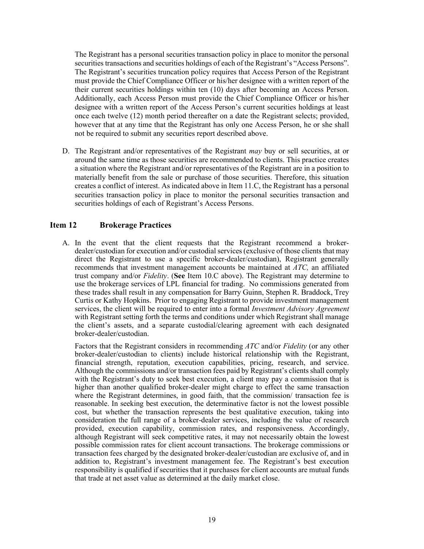The Registrant has a personal securities transaction policy in place to monitor the personal securities transactions and securities holdings of each of the Registrant's "Access Persons". The Registrant's securities truncation policy requires that Access Person of the Registrant must provide the Chief Compliance Officer or his/her designee with a written report of the their current securities holdings within ten (10) days after becoming an Access Person. Additionally, each Access Person must provide the Chief Compliance Officer or his/her designee with a written report of the Access Person's current securities holdings at least once each twelve (12) month period thereafter on a date the Registrant selects; provided, however that at any time that the Registrant has only one Access Person, he or she shall not be required to submit any securities report described above.

D. The Registrant and/or representatives of the Registrant *may* buy or sell securities, at or around the same time as those securities are recommended to clients. This practice creates a situation where the Registrant and/or representatives of the Registrant are in a position to materially benefit from the sale or purchase of those securities. Therefore, this situation creates a conflict of interest. As indicated above in Item 11.C, the Registrant has a personal securities transaction policy in place to monitor the personal securities transaction and securities holdings of each of Registrant's Access Persons.

# <span id="page-18-0"></span>**Item 12 Brokerage Practices**

A. In the event that the client requests that the Registrant recommend a brokerdealer/custodian for execution and/or custodial services (exclusive of those clients that may direct the Registrant to use a specific broker-dealer/custodian), Registrant generally recommends that investment management accounts be maintained at *ATC,* an affiliated trust company and/or *Fidelity*. (**See** Item 10.C above). The Registrant may determine to use the brokerage services of LPL financial for trading. No commissions generated from these trades shall result in any compensation for Barry Guinn, Stephen R. Braddock, Trey Curtis or Kathy Hopkins. Prior to engaging Registrant to provide investment management services, the client will be required to enter into a formal *Investment Advisory Agreement* with Registrant setting forth the terms and conditions under which Registrant shall manage the client's assets, and a separate custodial/clearing agreement with each designated broker-dealer/custodian.

Factors that the Registrant considers in recommending *ATC* and/or *Fidelity* (or any other broker-dealer/custodian to clients) include historical relationship with the Registrant, financial strength, reputation, execution capabilities, pricing, research, and service. Although the commissions and/or transaction fees paid by Registrant's clients shall comply with the Registrant's duty to seek best execution, a client may pay a commission that is higher than another qualified broker-dealer might charge to effect the same transaction where the Registrant determines, in good faith, that the commission/ transaction fee is reasonable. In seeking best execution, the determinative factor is not the lowest possible cost, but whether the transaction represents the best qualitative execution, taking into consideration the full range of a broker-dealer services, including the value of research provided, execution capability, commission rates, and responsiveness. Accordingly, although Registrant will seek competitive rates, it may not necessarily obtain the lowest possible commission rates for client account transactions. The brokerage commissions or transaction fees charged by the designated broker-dealer/custodian are exclusive of, and in addition to, Registrant's investment management fee. The Registrant's best execution responsibility is qualified if securities that it purchases for client accounts are mutual funds that trade at net asset value as determined at the daily market close.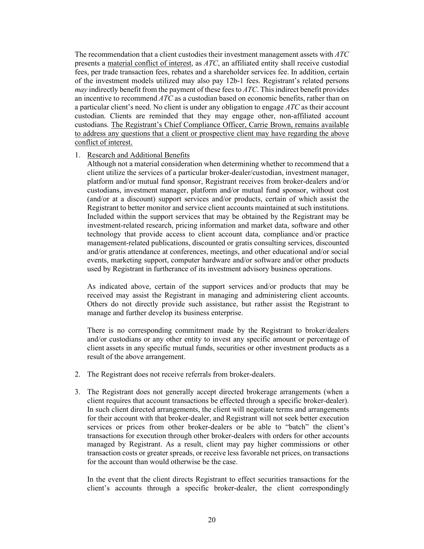The recommendation that a client custodies their investment management assets with *ATC* presents a material conflict of interest, as *ATC*, an affiliated entity shall receive custodial fees, per trade transaction fees, rebates and a shareholder services fee. In addition, certain of the investment models utilized may also pay 12b-1 fees. Registrant's related persons *may* indirectly benefit from the payment of these fees to *ATC*. This indirect benefit provides an incentive to recommend *ATC* as a custodian based on economic benefits, rather than on a particular client's need. No client is under any obligation to engage *ATC* as their account custodian. Clients are reminded that they may engage other, non-affiliated account custodians. The Registrant's Chief Compliance Officer, Carrie Brown, remains available to address any questions that a client or prospective client may have regarding the above conflict of interest.

#### 1. Research and Additional Benefits

Although not a material consideration when determining whether to recommend that a client utilize the services of a particular broker-dealer/custodian, investment manager, platform and/or mutual fund sponsor, Registrant receives from broker-dealers and/or custodians, investment manager, platform and/or mutual fund sponsor, without cost (and/or at a discount) support services and/or products, certain of which assist the Registrant to better monitor and service client accounts maintained at such institutions. Included within the support services that may be obtained by the Registrant may be investment-related research, pricing information and market data, software and other technology that provide access to client account data, compliance and/or practice management-related publications, discounted or gratis consulting services, discounted and/or gratis attendance at conferences, meetings, and other educational and/or social events, marketing support, computer hardware and/or software and/or other products used by Registrant in furtherance of its investment advisory business operations.

As indicated above, certain of the support services and/or products that may be received may assist the Registrant in managing and administering client accounts. Others do not directly provide such assistance, but rather assist the Registrant to manage and further develop its business enterprise.

There is no corresponding commitment made by the Registrant to broker/dealers and/or custodians or any other entity to invest any specific amount or percentage of client assets in any specific mutual funds, securities or other investment products as a result of the above arrangement.

- 2. The Registrant does not receive referrals from broker-dealers.
- 3. The Registrant does not generally accept directed brokerage arrangements (when a client requires that account transactions be effected through a specific broker-dealer). In such client directed arrangements, the client will negotiate terms and arrangements for their account with that broker-dealer, and Registrant will not seek better execution services or prices from other broker-dealers or be able to "batch" the client's transactions for execution through other broker-dealers with orders for other accounts managed by Registrant. As a result, client may pay higher commissions or other transaction costs or greater spreads, or receive less favorable net prices, on transactions for the account than would otherwise be the case.

In the event that the client directs Registrant to effect securities transactions for the client's accounts through a specific broker-dealer, the client correspondingly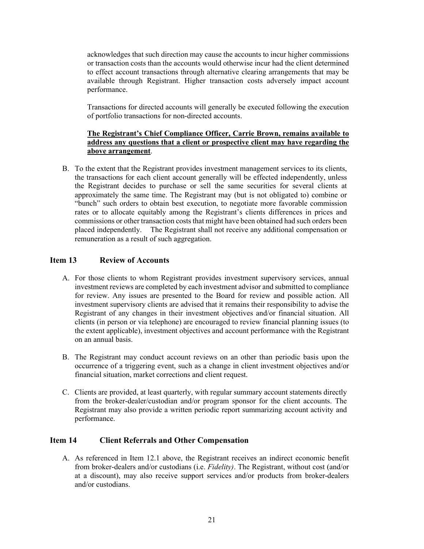acknowledges that such direction may cause the accounts to incur higher commissions or transaction costs than the accounts would otherwise incur had the client determined to effect account transactions through alternative clearing arrangements that may be available through Registrant. Higher transaction costs adversely impact account performance.

Transactions for directed accounts will generally be executed following the execution of portfolio transactions for non-directed accounts.

# **The Registrant's Chief Compliance Officer, Carrie Brown, remains available to address any questions that a client or prospective client may have regarding the above arrangement**.

B. To the extent that the Registrant provides investment management services to its clients, the transactions for each client account generally will be effected independently, unless the Registrant decides to purchase or sell the same securities for several clients at approximately the same time. The Registrant may (but is not obligated to) combine or "bunch" such orders to obtain best execution, to negotiate more favorable commission rates or to allocate equitably among the Registrant's clients differences in prices and commissions or other transaction costs that might have been obtained had such orders been placed independently. The Registrant shall not receive any additional compensation or remuneration as a result of such aggregation.

# <span id="page-20-0"></span>**Item 13 Review of Accounts**

- A. For those clients to whom Registrant provides investment supervisory services, annual investment reviews are completed by each investment advisor and submitted to compliance for review. Any issues are presented to the Board for review and possible action. All investment supervisory clients are advised that it remains their responsibility to advise the Registrant of any changes in their investment objectives and/or financial situation. All clients (in person or via telephone) are encouraged to review financial planning issues (to the extent applicable), investment objectives and account performance with the Registrant on an annual basis.
- B. The Registrant may conduct account reviews on an other than periodic basis upon the occurrence of a triggering event, such as a change in client investment objectives and/or financial situation, market corrections and client request.
- C. Clients are provided, at least quarterly, with regular summary account statements directly from the broker-dealer/custodian and/or program sponsor for the client accounts. The Registrant may also provide a written periodic report summarizing account activity and performance.

# <span id="page-20-1"></span>**Item 14 Client Referrals and Other Compensation**

A. As referenced in Item 12.1 above, the Registrant receives an indirect economic benefit from broker-dealers and/or custodians (i.e. *Fidelity)*. The Registrant, without cost (and/or at a discount), may also receive support services and/or products from broker-dealers and/or custodians.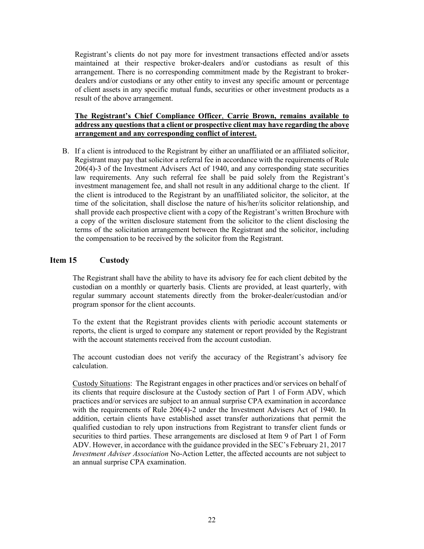Registrant's clients do not pay more for investment transactions effected and/or assets maintained at their respective broker-dealers and/or custodians as result of this arrangement. There is no corresponding commitment made by the Registrant to brokerdealers and/or custodians or any other entity to invest any specific amount or percentage of client assets in any specific mutual funds, securities or other investment products as a result of the above arrangement.

# **The Registrant's Chief Compliance Officer**, **Carrie Brown, remains available to address any questions that a client or prospective client may have regarding the above arrangement and any corresponding conflict of interest.**

B. If a client is introduced to the Registrant by either an unaffiliated or an affiliated solicitor, Registrant may pay that solicitor a referral fee in accordance with the requirements of Rule 206(4)-3 of the Investment Advisers Act of 1940, and any corresponding state securities law requirements. Any such referral fee shall be paid solely from the Registrant's investment management fee, and shall not result in any additional charge to the client. If the client is introduced to the Registrant by an unaffiliated solicitor, the solicitor, at the time of the solicitation, shall disclose the nature of his/her/its solicitor relationship, and shall provide each prospective client with a copy of the Registrant's written Brochure with a copy of the written disclosure statement from the solicitor to the client disclosing the terms of the solicitation arrangement between the Registrant and the solicitor, including the compensation to be received by the solicitor from the Registrant.

# <span id="page-21-0"></span>**Item 15 Custody**

The Registrant shall have the ability to have its advisory fee for each client debited by the custodian on a monthly or quarterly basis. Clients are provided, at least quarterly, with regular summary account statements directly from the broker-dealer/custodian and/or program sponsor for the client accounts.

To the extent that the Registrant provides clients with periodic account statements or reports, the client is urged to compare any statement or report provided by the Registrant with the account statements received from the account custodian.

The account custodian does not verify the accuracy of the Registrant's advisory fee calculation.

Custody Situations: The Registrant engages in other practices and/or services on behalf of its clients that require disclosure at the Custody section of Part 1 of Form ADV, which practices and/or services are subject to an annual surprise CPA examination in accordance with the requirements of Rule 206(4)-2 under the Investment Advisers Act of 1940. In addition, certain clients have established asset transfer authorizations that permit the qualified custodian to rely upon instructions from Registrant to transfer client funds or securities to third parties. These arrangements are disclosed at Item 9 of Part 1 of Form ADV. However, in accordance with the guidance provided in the SEC's February 21, 2017 *Investment Adviser Association* No-Action Letter, the affected accounts are not subject to an annual surprise CPA examination.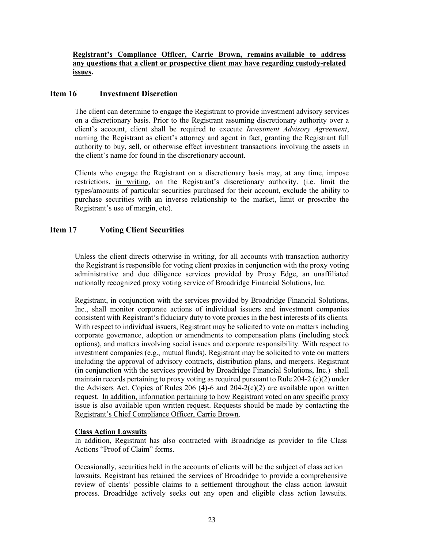### **Registrant's Compliance Officer, Carrie Brown, remains available to address any questions that a client or prospective client may have regarding custody-related issues.**

# <span id="page-22-0"></span>**Item 16 Investment Discretion**

The client can determine to engage the Registrant to provide investment advisory services on a discretionary basis. Prior to the Registrant assuming discretionary authority over a client's account, client shall be required to execute *Investment Advisory Agreement*, naming the Registrant as client's attorney and agent in fact, granting the Registrant full authority to buy, sell, or otherwise effect investment transactions involving the assets in the client's name for found in the discretionary account.

Clients who engage the Registrant on a discretionary basis may, at any time, impose restrictions, in writing, on the Registrant's discretionary authority. (i.e. limit the types/amounts of particular securities purchased for their account, exclude the ability to purchase securities with an inverse relationship to the market, limit or proscribe the Registrant's use of margin, etc).

# <span id="page-22-1"></span>**Item 17 Voting Client Securities**

Unless the client directs otherwise in writing, for all accounts with transaction authority the Registrant is responsible for voting client proxies in conjunction with the proxy voting administrative and due diligence services provided by Proxy Edge, an unaffiliated nationally recognized proxy voting service of Broadridge Financial Solutions, Inc.

Registrant, in conjunction with the services provided by Broadridge Financial Solutions, Inc., shall monitor corporate actions of individual issuers and investment companies consistent with Registrant's fiduciary duty to vote proxies in the best interests of its clients. With respect to individual issuers, Registrant may be solicited to vote on matters including corporate governance, adoption or amendments to compensation plans (including stock options), and matters involving social issues and corporate responsibility. With respect to investment companies (e.g., mutual funds), Registrant may be solicited to vote on matters including the approval of advisory contracts, distribution plans, and mergers. Registrant (in conjunction with the services provided by Broadridge Financial Solutions, Inc.) shall maintain records pertaining to proxy voting as required pursuant to Rule 204-2 (c)(2) under the Advisers Act. Copies of Rules 206 (4)-6 and  $204-2(c)(2)$  are available upon written request. In addition, information pertaining to how Registrant voted on any specific proxy issue is also available upon written request. Requests should be made by contacting the Registrant's Chief Compliance Officer, Carrie Brown.

### **Class Action Lawsuits**

In addition, Registrant has also contracted with Broadridge as provider to file Class Actions "Proof of Claim" forms.

Occasionally, securities held in the accounts of clients will be the subject of class action lawsuits. Registrant has retained the services of Broadridge to provide a comprehensive review of clients' possible claims to a settlement throughout the class action lawsuit process. Broadridge actively seeks out any open and eligible class action lawsuits.